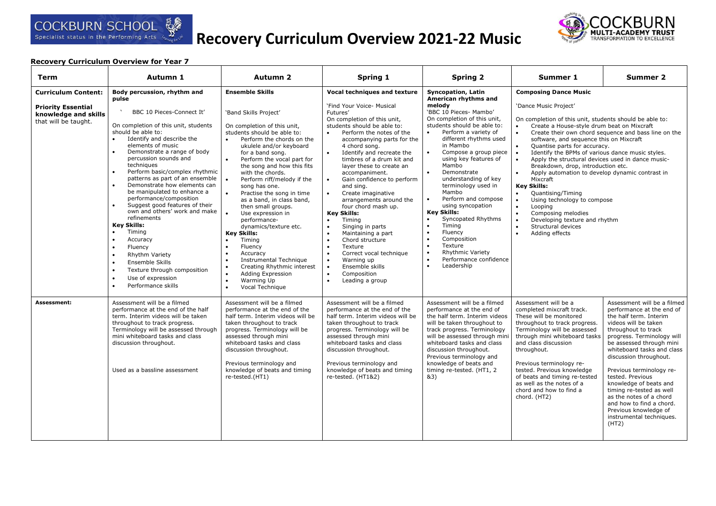# **Recovery Curriculum Overview 2021-22 Music**



| Term                                                                                                    | Autumn 1                                                                                                                                                                                                                                                                                                                                                                                                                                                                                                                                                                                                                                                                                                                           | <b>Autumn 2</b>                                                                                                                                                                                                                                                                                                                                                                                                                                                                                                                                                                                                                                                                                                                                                                            | Spring 1                                                                                                                                                                                                                                                                                                                                                                                                                                                                                                                                                                                                                                                                                                                                                                                                           | <b>Spring 2</b>                                                                                                                                                                                                                                                                                                                                                                                                                                                                                                                                                                                                                                                                                              | Summer 1                                                                                                                                                                                                                                                                                                                                                                                                                                                                                                                                                                                                                                                                                                                                                                      | Summer 2                                                                                                                                                                                                                                                                                                                                                                                                                                                                       |
|---------------------------------------------------------------------------------------------------------|------------------------------------------------------------------------------------------------------------------------------------------------------------------------------------------------------------------------------------------------------------------------------------------------------------------------------------------------------------------------------------------------------------------------------------------------------------------------------------------------------------------------------------------------------------------------------------------------------------------------------------------------------------------------------------------------------------------------------------|--------------------------------------------------------------------------------------------------------------------------------------------------------------------------------------------------------------------------------------------------------------------------------------------------------------------------------------------------------------------------------------------------------------------------------------------------------------------------------------------------------------------------------------------------------------------------------------------------------------------------------------------------------------------------------------------------------------------------------------------------------------------------------------------|--------------------------------------------------------------------------------------------------------------------------------------------------------------------------------------------------------------------------------------------------------------------------------------------------------------------------------------------------------------------------------------------------------------------------------------------------------------------------------------------------------------------------------------------------------------------------------------------------------------------------------------------------------------------------------------------------------------------------------------------------------------------------------------------------------------------|--------------------------------------------------------------------------------------------------------------------------------------------------------------------------------------------------------------------------------------------------------------------------------------------------------------------------------------------------------------------------------------------------------------------------------------------------------------------------------------------------------------------------------------------------------------------------------------------------------------------------------------------------------------------------------------------------------------|-------------------------------------------------------------------------------------------------------------------------------------------------------------------------------------------------------------------------------------------------------------------------------------------------------------------------------------------------------------------------------------------------------------------------------------------------------------------------------------------------------------------------------------------------------------------------------------------------------------------------------------------------------------------------------------------------------------------------------------------------------------------------------|--------------------------------------------------------------------------------------------------------------------------------------------------------------------------------------------------------------------------------------------------------------------------------------------------------------------------------------------------------------------------------------------------------------------------------------------------------------------------------|
| <b>Curriculum Content:</b><br><b>Priority Essential</b><br>knowledge and skills<br>that will be taught. | Body percussion, rhythm and<br>pulse<br>BBC 10 Pieces-Connect It'<br>On completion of this unit, students<br>should be able to:<br>Identify and describe the<br>elements of music<br>Demonstrate a range of body<br>percussion sounds and<br>techniques<br>Perform basic/complex rhythmic<br>patterns as part of an ensemble<br>Demonstrate how elements can<br>be manipulated to enhance a<br>performance/composition<br>Suggest good features of their<br>own and others' work and make<br>refinements<br><b>Key Skills:</b><br>Timing<br>Accuracy<br>$\bullet$<br>Fluency<br>$\bullet$<br>Rhythm Variety<br>Ensemble Skills<br>$\bullet$<br>Texture through composition<br>Use of expression<br>$\bullet$<br>Performance skills | <b>Ensemble Skills</b><br>'Band Skills Project'<br>On completion of this unit,<br>students should be able to:<br>Perform the chords on the<br>$\bullet$<br>ukulele and/or keyboard<br>for a band song.<br>Perform the vocal part for<br>$\bullet$<br>the song and how this fits<br>with the chords.<br>$\bullet$<br>Perform riff/melody if the<br>song has one.<br>$\bullet$<br>Practise the song in time<br>as a band, in class band,<br>then small groups.<br>Use expression in<br>performance-<br>dynamics/texture etc.<br><b>Key Skills:</b><br>Timing<br>Fluency<br>$\bullet$<br>Accuracy<br>$\bullet$<br>Instrumental Technique<br>$\bullet$<br>Creating Rhythmic interest<br>$\bullet$<br>$\bullet$<br>Adding Expression<br>Warming Up<br>$\bullet$<br>Vocal Technique<br>$\bullet$ | <b>Vocal techniques and texture</b><br>'Find Your Voice- Musical<br>Futures'<br>On completion of this unit,<br>students should be able to:<br>Perform the notes of the<br>accompanying parts for the<br>4 chord song.<br>Identify and recreate the<br>$\bullet$<br>timbres of a drum kit and<br>layer these to create an<br>accompaniment.<br>Gain confidence to perform<br>$\bullet$<br>and sing.<br>Create imaginative<br>$\bullet$<br>arrangements around the<br>four chord mash up.<br><b>Key Skills:</b><br>Timing<br>$\bullet$<br>Singing in parts<br>$\bullet$<br>Maintaining a part<br>$\bullet$<br>Chord structure<br>Texture<br>$\bullet$<br>Correct vocal technique<br>$\bullet$<br>Warning up<br>$\bullet$<br>Ensemble skills<br>$\bullet$<br>Composition<br>$\bullet$<br>Leading a group<br>$\bullet$ | <b>Syncopation, Latin</b><br>American rhythms and<br>melody<br>'BBC 10 Pieces- Mambo'<br>On completion of this unit,<br>students should be able to:<br>Perform a variety of<br>$\bullet$<br>different rhythms used<br>in Mambo<br>Compose a group piece<br>using key features of<br>Mambo<br>Demonstrate<br>$\bullet$<br>understanding of key<br>terminology used in<br>Mambo<br>Perform and compose<br>$\bullet$<br>using syncopation<br><b>Key Skills:</b><br>Syncopated Rhythms<br>$\bullet$<br>$\bullet$<br>Timing<br>$\bullet$<br>Fluency<br>$\bullet$<br>Composition<br>$\bullet$<br>Texture<br>$\bullet$<br><b>Rhythmic Variety</b><br>Performance confidence<br>$\bullet$<br>$\bullet$<br>Leadership | <b>Composing Dance Music</b><br>'Dance Music Project'<br>On completion of this unit, students should be able to:<br>Create a House-style drum beat on Mixcraft<br>software, and sequence this on Mixcraft<br>$\bullet$<br>Quantise parts for accuracy.<br>Identify the BPMs of various dance music styles.<br>$\bullet$<br>Apply the structural devices used in dance music-<br>$\bullet$<br>Breakdown, drop, introduction etc.<br>Apply automation to develop dynamic contrast in<br>Mixcraft<br><b>Key Skills:</b><br>Quantising/Timing<br>$\bullet$<br>$\bullet$<br>Using technology to compose<br>$\bullet$<br>Looping<br>$\bullet$<br>Composing melodies<br>Developing texture and rhythm<br>$\bullet$<br>Structural devices<br>$\bullet$<br>$\bullet$<br>Adding effects | Create their own chord sequence and bass line on the                                                                                                                                                                                                                                                                                                                                                                                                                           |
| Assessment:                                                                                             | Assessment will be a filmed<br>performance at the end of the half<br>term. Interim videos will be taken<br>throughout to track progress.<br>Terminology will be assessed through<br>mini whiteboard tasks and class<br>discussion throughout.<br>Used as a bassline assessment                                                                                                                                                                                                                                                                                                                                                                                                                                                     | Assessment will be a filmed<br>performance at the end of the<br>half term. Interim videos will be<br>taken throughout to track<br>progress. Terminology will be<br>assessed through mini<br>whiteboard tasks and class<br>discussion throughout.<br>Previous terminology and<br>knowledge of beats and timing<br>re-tested.(HT1)                                                                                                                                                                                                                                                                                                                                                                                                                                                           | Assessment will be a filmed<br>performance at the end of the<br>half term. Interim videos will be<br>taken throughout to track<br>progress. Terminology will be<br>assessed through mini<br>whiteboard tasks and class<br>discussion throughout.<br>Previous terminology and<br>knowledge of beats and timing<br>re-tested. (HT1&2)                                                                                                                                                                                                                                                                                                                                                                                                                                                                                | Assessment will be a filmed<br>performance at the end of<br>the half term. Interim videos<br>will be taken throughout to<br>track progress. Terminology<br>will be assessed through min<br>whiteboard tasks and class<br>discussion throughout.<br>Previous terminology and<br>knowledge of beats and<br>timing re-tested. (HT1, 2<br>&3)                                                                                                                                                                                                                                                                                                                                                                    | Assessment will be a<br>completed mixcraft track.<br>These will be monitored<br>throughout to track progress.<br>Terminology will be assessed<br>through mini whiteboard tasks<br>and class discussion<br>throughout.<br>Previous terminology re-<br>tested. Previous knowledge<br>of beats and timing re-tested<br>as well as the notes of a<br>chord and how to find a<br>chord. (HT2)                                                                                                                                                                                                                                                                                                                                                                                      | Assessment will be a filmed<br>performance at the end of<br>the half term. Interim<br>videos will be taken<br>throughout to track<br>progress. Terminology will<br>be assessed through mini<br>whiteboard tasks and class<br>discussion throughout.<br>Previous terminology re-<br>tested. Previous<br>knowledge of beats and<br>timing re-tested as well<br>as the notes of a chord<br>and how to find a chord.<br>Previous knowledge of<br>instrumental techniques.<br>(HT2) |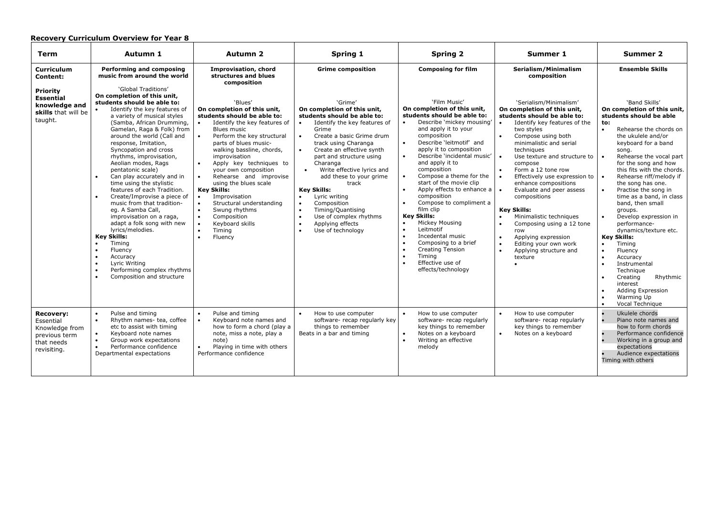| Term                                                                                          | Autumn 1                                                                                                                                                                                                                                                                                                                                                                                                                                                                                                                                                                                                                                                                                                                                         | <b>Autumn 2</b>                                                                                                                                                                                                                                                                                                                                                                                                                                                                                                                                       | Spring 1                                                                                                                                                                                                                                                                                                                                                                                                                                                                                                               | <b>Spring 2</b>                                                                                                                                                                                                                                                                                                                                                                                                                                                                                                                                                                                                                                                                                                             | Summer 1                                                                                                                                                                                                                                                                                                                                                                                                                                                                                                           | <b>Summer 2</b>                                                                                                                                                                                                                                                                                                                                                                                                                                                                                                                                                                                                                                                                                                                   |
|-----------------------------------------------------------------------------------------------|--------------------------------------------------------------------------------------------------------------------------------------------------------------------------------------------------------------------------------------------------------------------------------------------------------------------------------------------------------------------------------------------------------------------------------------------------------------------------------------------------------------------------------------------------------------------------------------------------------------------------------------------------------------------------------------------------------------------------------------------------|-------------------------------------------------------------------------------------------------------------------------------------------------------------------------------------------------------------------------------------------------------------------------------------------------------------------------------------------------------------------------------------------------------------------------------------------------------------------------------------------------------------------------------------------------------|------------------------------------------------------------------------------------------------------------------------------------------------------------------------------------------------------------------------------------------------------------------------------------------------------------------------------------------------------------------------------------------------------------------------------------------------------------------------------------------------------------------------|-----------------------------------------------------------------------------------------------------------------------------------------------------------------------------------------------------------------------------------------------------------------------------------------------------------------------------------------------------------------------------------------------------------------------------------------------------------------------------------------------------------------------------------------------------------------------------------------------------------------------------------------------------------------------------------------------------------------------------|--------------------------------------------------------------------------------------------------------------------------------------------------------------------------------------------------------------------------------------------------------------------------------------------------------------------------------------------------------------------------------------------------------------------------------------------------------------------------------------------------------------------|-----------------------------------------------------------------------------------------------------------------------------------------------------------------------------------------------------------------------------------------------------------------------------------------------------------------------------------------------------------------------------------------------------------------------------------------------------------------------------------------------------------------------------------------------------------------------------------------------------------------------------------------------------------------------------------------------------------------------------------|
| <b>Curriculum</b><br>Content:<br><b>Priority</b><br><b>Essential</b><br>knowledge and         | <b>Performing and composing</b><br>music from around the world<br>'Global Traditions'<br>On completion of this unit,<br>students should be able to:<br>Identify the key features of                                                                                                                                                                                                                                                                                                                                                                                                                                                                                                                                                              | <b>Improvisation, chord</b><br>structures and blues<br>composition<br>'Blues'<br>On completion of this unit,                                                                                                                                                                                                                                                                                                                                                                                                                                          | <b>Grime composition</b><br>'Grime'<br>On completion of this unit,                                                                                                                                                                                                                                                                                                                                                                                                                                                     | <b>Composing for film</b><br>'Film Music'<br>On completion of this unit,                                                                                                                                                                                                                                                                                                                                                                                                                                                                                                                                                                                                                                                    | Serialism/Minimalism<br>composition<br>'Serialism/Minimalism'<br>On completion of this unit,                                                                                                                                                                                                                                                                                                                                                                                                                       | <b>Ensemble Skills</b><br>'Band Skills'<br>On completion of this unit,                                                                                                                                                                                                                                                                                                                                                                                                                                                                                                                                                                                                                                                            |
| skills that will be<br>taught.                                                                | a variety of musical styles<br>(Samba, African Drumming,<br>Gamelan, Raga & Folk) from<br>around the world (Call and<br>response, Imitation,<br>Syncopation and cross<br>rhythms, improvisation,<br>Aeolian modes, Rags<br>pentatonic scale)<br>Can play accurately and in<br>$\bullet$<br>time using the stylistic<br>features of each Tradition.<br>Create/Improvise a piece of<br>$\bullet$<br>music from that tradition-<br>eg. A Samba Call,<br>improvisation on a raga,<br>adapt a folk song with new<br>lyrics/melodies.<br><b>Key Skills:</b><br>Timing<br>$\bullet$<br>$\bullet$<br>Fluency<br>Accuracy<br>$\bullet$<br>$\bullet$<br>Lyric Writing<br>Performing complex rhythms<br>$\bullet$<br>Composition and structure<br>$\bullet$ | students should be able to:<br>Identify the key features of<br>Blues music<br>Perform the key structural<br>$\bullet$<br>parts of blues music-<br>walking bassline, chords,<br>improvisation<br>Apply key techniques to<br>$\bullet$<br>your own composition<br>Rehearse and improvise<br>$\bullet$<br>using the blues scale<br><b>Key Skills:</b><br>Improvisation<br>$\bullet$<br>Structural understanding<br>$\bullet$<br>Swung rhythms<br>$\bullet$<br>Composition<br>$\bullet$<br>Keyboard skills<br>Timing<br>$\bullet$<br>Fluency<br>$\bullet$ | students should be able to:<br>Identify the key features of<br>$\bullet$<br>Grime<br>Create a basic Grime drum<br>track using Charanga<br>Create an effective synth<br>part and structure using<br>Charanga<br>Write effective lyrics and<br>$\bullet$<br>add these to your grime<br>track<br><b>Key Skills:</b><br>Lyric writing<br>$\bullet$<br>Composition<br>$\bullet$<br>Timing/Quantising<br>$\bullet$<br>Use of complex rhythms<br>$\bullet$<br>Applying effects<br>$\bullet$<br>Use of technology<br>$\bullet$ | students should be able to:<br>Describe 'mickey mousing'<br>$\bullet$<br>and apply it to your<br>composition<br>$\bullet$<br>Describe 'leitmotif' and<br>apply it to composition<br>$\bullet$<br>Describe 'incidental music'<br>and apply it to<br>composition<br>Compose a theme for the<br>$\bullet$<br>start of the movie clip<br>Apply effects to enhance a<br>$\bullet$<br>composition<br>Compose to compliment a<br>$\bullet$<br>film clip<br><b>Key Skills:</b><br>Mickey Mousing<br>$\bullet$<br>Leitmotif<br>$\bullet$<br>$\bullet$<br>Incedental music<br>Composing to a brief<br>$\bullet$<br>$\bullet$<br><b>Creating Tension</b><br>Timing<br>$\bullet$<br>$\bullet$<br>Effective use of<br>effects/technology | students should be able to:<br>Identify key features of the<br>two styles<br>Compose using both<br>minimalistic and serial<br>techniques<br>Use texture and structure to<br>compose<br>Form a 12 tone row<br>Effectively use expression to<br>enhance compositions<br>Evaluate and peer assess<br>compositions<br><b>Key Skills:</b><br>Minimalistic techniques<br>Composing using a 12 tone<br>$\bullet$<br>row<br>Applying expression<br>$\bullet$<br>Editing your own work<br>Applying structure and<br>texture | students should be able<br>to:<br>$\bullet$<br>Rehearse the chords on<br>the ukulele and/or<br>keyboard for a band<br>song.<br>Rehearse the vocal part<br>$\bullet$<br>for the song and how<br>this fits with the chords.<br>Rehearse riff/melody if<br>$\bullet$<br>the song has one.<br>Practise the song in<br>$\bullet$<br>time as a band, in class<br>band, then small<br>groups.<br>Develop expression in<br>$\bullet$<br>performance-<br>dynamics/texture etc.<br><b>Key Skills:</b><br>Timing<br>$\bullet$<br>Fluency<br>$\bullet$<br>$\bullet$<br>Accuracy<br>Instrumental<br>Technique<br>Creating<br>Rhythmic<br>$\bullet$<br>interest<br>Adding Expression<br>$\bullet$<br>Warming Up<br>$\bullet$<br>Vocal Technique |
| <b>Recovery:</b><br>Essential<br>Knowledge from<br>previous term<br>that needs<br>revisiting. | Pulse and timing<br>$\bullet$<br>Rhythm names- tea, coffee<br>$\bullet$<br>etc to assist with timing<br>Keyboard note names<br>$\bullet$<br>$\bullet$<br>Group work expectations<br>Performance confidence<br>$\bullet$<br>Departmental expectations                                                                                                                                                                                                                                                                                                                                                                                                                                                                                             | $\bullet$<br>Pulse and timing<br>$\bullet$<br>Keyboard note names and<br>how to form a chord (play a<br>note, miss a note, play a<br>note)<br>Playing in time with others<br>$\bullet$<br>Performance confidence                                                                                                                                                                                                                                                                                                                                      | How to use computer<br>$\bullet$<br>software- recap regularly key<br>things to remember<br>Beats in a bar and timing                                                                                                                                                                                                                                                                                                                                                                                                   | How to use computer<br>$\bullet$<br>software-recap regularly<br>key things to remember<br>Notes on a keyboard<br>$\bullet$<br>Writing an effective<br>$\bullet$<br>melody                                                                                                                                                                                                                                                                                                                                                                                                                                                                                                                                                   | How to use computer<br>software- recap regularly<br>key things to remember<br>Notes on a keyboard<br>$\bullet$                                                                                                                                                                                                                                                                                                                                                                                                     | Ukulele chords<br>$\bullet$<br>Piano note names and<br>how to form chords<br>Performance confidence<br>Working in a group and<br>expectations<br>Audience expectations<br>Timing with others                                                                                                                                                                                                                                                                                                                                                                                                                                                                                                                                      |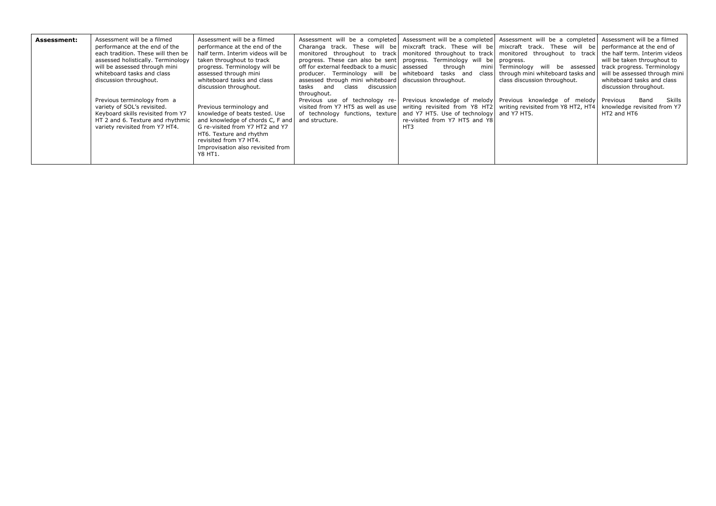| Assessment: | Assessment will be a filmed<br>performance at the end of the<br>each tradition. These will then be<br>assessed holistically. Terminology<br>will be assessed through mini<br>whiteboard tasks and class<br>discussion throughout.<br>Previous terminology from a<br>variety of SOL's revisited.<br>Keyboard skills revisited from Y7<br>HT 2 and 6. Texture and rhythmic<br>variety revisited from Y7 HT4. | Assessment will be a filmed<br>performance at the end of the<br>half term. Interim videos will be<br>taken throughout to track<br>progress. Terminology will be<br>assessed through mini<br>whiteboard tasks and class<br>discussion throughout.<br>Previous terminology and<br>knowledge of beats tested. Use<br>and knowledge of chords C, F and<br>G re-visited from Y7 HT2 and Y7 | Assessment will be a completed Assessment will be a completed Assessment will be a completed Assessment will be a filmed<br>Charanga track. These will be mixcraft track. These will be mixcraft track. These will be<br>monitored throughout to track monitored throughout to track<br>progress. These can also be sent progress. Terminology will be progress.<br>off for external feedback to a music assessed<br>producer. Terminology will be whiteboard<br>assessed through mini whiteboard discussion throughout.<br>tasks and<br>discussion<br>class<br>throughout.<br>Previous use of technology re- Previous knowledge of melody Previous knowledge of melody<br>visited from Y7 HT5 as well as use   writing revisited from Y8 HT2   writing revisited from Y8 HT2, HT4<br>of technology functions, texture and Y7 HT5. Use of technology and Y7 HT5.<br>and structure. | through<br>tasks and<br>re-visited from Y7 HT5 and Y8<br>HT3 | monitored throughout to track<br>mini Terminology will be assessed<br>class through mini whiteboard tasks and<br>class discussion throughout. | performance at the end of<br>the half term. Interim videos<br>will be taken throughout to<br>track progress. Terminology<br>will be assessed through mini<br>whiteboard tasks and class<br>discussion throughout.<br>Skills<br>Previous<br>Band<br>knowledge revisited from Y7<br>HT2 and HT6 |
|-------------|------------------------------------------------------------------------------------------------------------------------------------------------------------------------------------------------------------------------------------------------------------------------------------------------------------------------------------------------------------------------------------------------------------|---------------------------------------------------------------------------------------------------------------------------------------------------------------------------------------------------------------------------------------------------------------------------------------------------------------------------------------------------------------------------------------|------------------------------------------------------------------------------------------------------------------------------------------------------------------------------------------------------------------------------------------------------------------------------------------------------------------------------------------------------------------------------------------------------------------------------------------------------------------------------------------------------------------------------------------------------------------------------------------------------------------------------------------------------------------------------------------------------------------------------------------------------------------------------------------------------------------------------------------------------------------------------------|--------------------------------------------------------------|-----------------------------------------------------------------------------------------------------------------------------------------------|-----------------------------------------------------------------------------------------------------------------------------------------------------------------------------------------------------------------------------------------------------------------------------------------------|
|             |                                                                                                                                                                                                                                                                                                                                                                                                            | HT6. Texture and rhythm<br>revisited from Y7 HT4.<br>Improvisation also revisited from<br>Y8 HT1.                                                                                                                                                                                                                                                                                     |                                                                                                                                                                                                                                                                                                                                                                                                                                                                                                                                                                                                                                                                                                                                                                                                                                                                                    |                                                              |                                                                                                                                               |                                                                                                                                                                                                                                                                                               |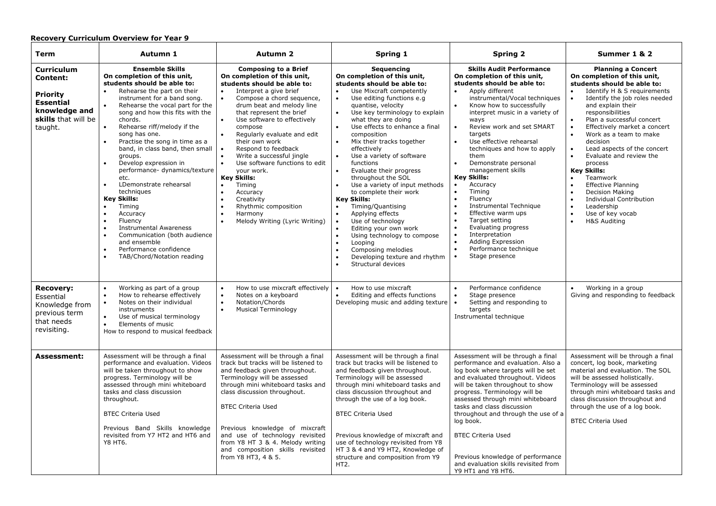| Term                                                                                                                    | Autumn 1                                                                                                                                                                                                                                                                                                                                                                                                                                                                                                                                                                                                                                                                                                                                                                                                       | <b>Autumn 2</b>                                                                                                                                                                                                                                                                                                                                                                                                                                                                                                                                                                                                                                                                        | Spring 1                                                                                                                                                                                                                                                                                                                                                                                                                                                                                                                                                                                                                                                                                                                                                     | <b>Spring 2</b>                                                                                                                                                                                                                                                                                                                                                                                                                                                                                                                                                                                                                                                                                                                                                                                                | Summer 1 & 2                                                                                                                                                                                                                                                                                                                                                                                                                                                                                                                                                                                                                                                             |
|-------------------------------------------------------------------------------------------------------------------------|----------------------------------------------------------------------------------------------------------------------------------------------------------------------------------------------------------------------------------------------------------------------------------------------------------------------------------------------------------------------------------------------------------------------------------------------------------------------------------------------------------------------------------------------------------------------------------------------------------------------------------------------------------------------------------------------------------------------------------------------------------------------------------------------------------------|----------------------------------------------------------------------------------------------------------------------------------------------------------------------------------------------------------------------------------------------------------------------------------------------------------------------------------------------------------------------------------------------------------------------------------------------------------------------------------------------------------------------------------------------------------------------------------------------------------------------------------------------------------------------------------------|--------------------------------------------------------------------------------------------------------------------------------------------------------------------------------------------------------------------------------------------------------------------------------------------------------------------------------------------------------------------------------------------------------------------------------------------------------------------------------------------------------------------------------------------------------------------------------------------------------------------------------------------------------------------------------------------------------------------------------------------------------------|----------------------------------------------------------------------------------------------------------------------------------------------------------------------------------------------------------------------------------------------------------------------------------------------------------------------------------------------------------------------------------------------------------------------------------------------------------------------------------------------------------------------------------------------------------------------------------------------------------------------------------------------------------------------------------------------------------------------------------------------------------------------------------------------------------------|--------------------------------------------------------------------------------------------------------------------------------------------------------------------------------------------------------------------------------------------------------------------------------------------------------------------------------------------------------------------------------------------------------------------------------------------------------------------------------------------------------------------------------------------------------------------------------------------------------------------------------------------------------------------------|
| <b>Curriculum</b><br>Content:<br><b>Priority</b><br><b>Essential</b><br>knowledge and<br>skills that will be<br>taught. | <b>Ensemble Skills</b><br>On completion of this unit,<br>students should be able to:<br>Rehearse the part on their<br>$\bullet$<br>instrument for a band song.<br>Rehearse the vocal part for the<br>song and how this fits with the<br>chords.<br>Rehearse riff/melody if the<br>$\bullet$<br>song has one.<br>Practise the song in time as a<br>band, in class band, then small<br>groups.<br>Develop expression in<br>performance- dynamics/texture<br>etc.<br>LDemonstrate rehearsal<br>$\bullet$<br>techniques<br><b>Key Skills:</b><br>Timing<br>$\bullet$<br>$\bullet$<br>Accuracy<br>Fluency<br>$\bullet$<br>$\bullet$<br><b>Instrumental Awareness</b><br>$\bullet$<br>Communication (both audience<br>and ensemble<br>Performance confidence<br>$\bullet$<br>$\bullet$<br>TAB/Chord/Notation reading | <b>Composing to a Brief</b><br>On completion of this unit,<br>students should be able to:<br>Interpret a give brief<br>$\bullet$<br>$\bullet$<br>Compose a chord sequence,<br>drum beat and melody line<br>that represent the brief<br>Use software to effectively<br>$\bullet$<br>compose<br>$\bullet$<br>Regularly evaluate and edit<br>their own work<br>Respond to feedback<br>$\bullet$<br>Write a successful jingle<br>$\bullet$<br>Use software functions to edit<br>$\bullet$<br>vour work.<br><b>Key Skills:</b><br>Timing<br>$\bullet$<br>Accuracy<br>Creativity<br>$\bullet$<br>Rhythmic composition<br>$\bullet$<br>$\bullet$<br>Harmony<br>Melody Writing (Lyric Writing) | Sequencing<br>On completion of this unit,<br>students should be able to:<br>Use Mixcraft competently<br>Use editing functions e.g<br>quantise, velocity<br>Use key terminology to explain<br>$\bullet$<br>what they are doing<br>Use effects to enhance a final<br>$\bullet$<br>composition<br>Mix their tracks together<br>effectively<br>Use a variety of software<br>$\bullet$<br>functions<br>Evaluate their progress<br>throughout the SOL<br>Use a variety of input methods<br>to complete their work<br><b>Key Skills:</b><br>Timing/Quantising<br>Applying effects<br>Use of technology<br>Editing your own work<br>Using technology to compose<br>$\bullet$<br>Looping<br>Composing melodies<br>Developing texture and rhythm<br>Structural devices | <b>Skills Audit Performance</b><br>On completion of this unit,<br>students should be able to:<br>Apply different<br>$\bullet$<br>instrumental/Vocal techniques<br>Know how to successfully<br>interpret music in a variety of<br>ways<br>Review work and set SMART<br>$\bullet$<br>targets<br>Use effective rehearsal<br>$\bullet$<br>techniques and how to apply<br>them<br>Demonstrate personal<br>$\bullet$<br>management skills<br><b>Key Skills:</b><br>Accuracy<br>$\bullet$<br>$\bullet$<br>Timing<br>$\bullet$<br>Fluency<br>$\bullet$<br><b>Instrumental Technique</b><br>$\bullet$<br>Effective warm ups<br>Target setting<br>$\bullet$<br>Evaluating progress<br>$\bullet$<br>$\bullet$<br>Interpretation<br>Adding Expression<br>$\bullet$<br>$\bullet$<br>Performance technique<br>Stage presence | <b>Planning a Concert</b><br>On completion of this unit,<br>students should be able to:<br>Identify H & S requirements<br>Identify the job roles needed<br>$\bullet$<br>and explain their<br>responsibilities<br>Plan a successful concert<br>$\bullet$<br>$\bullet$<br>Effectively market a concert<br>Work as a team to make<br>$\bullet$<br>decision<br>Lead aspects of the concert<br>$\bullet$<br>Evaluate and review the<br>$\bullet$<br>process<br><b>Key Skills:</b><br>Teamwork<br><b>Effective Planning</b><br><b>Decision Making</b><br><b>Individual Contribution</b><br>Leadership<br>$\bullet$<br>Use of key vocab<br><b>H&amp;S Auditing</b><br>$\bullet$ |
| <b>Recovery:</b><br>Essential<br>Knowledge from<br>previous term<br>that needs<br>revisiting.                           | Working as part of a group<br>$\bullet$<br>How to rehearse effectively<br>$\bullet$<br>Notes on their individual<br>$\bullet$<br>instruments<br>Use of musical terminology<br>$\bullet$<br>Elements of music<br>$\bullet$<br>How to respond to musical feedback                                                                                                                                                                                                                                                                                                                                                                                                                                                                                                                                                | How to use mixcraft effectively<br>$\bullet$<br>Notes on a keyboard<br>$\bullet$<br>Notation/Chords<br>$\bullet$<br><b>Musical Terminology</b><br>$\bullet$                                                                                                                                                                                                                                                                                                                                                                                                                                                                                                                            | How to use mixcraft<br>$\bullet$<br>Editing and effects functions<br>Developing music and adding texture                                                                                                                                                                                                                                                                                                                                                                                                                                                                                                                                                                                                                                                     | Performance confidence<br>$\bullet$<br>Stage presence<br>$\bullet$<br>Setting and responding to<br>targets<br>Instrumental technique                                                                                                                                                                                                                                                                                                                                                                                                                                                                                                                                                                                                                                                                           | Working in a group<br>Giving and responding to feedback                                                                                                                                                                                                                                                                                                                                                                                                                                                                                                                                                                                                                  |
| <b>Assessment:</b>                                                                                                      | Assessment will be through a final<br>performance and evaluation. Videos<br>will be taken throughout to show<br>progress. Terminology will be<br>assessed through mini whiteboard<br>tasks and class discussion<br>throughout.<br><b>BTEC Criteria Used</b><br>Previous Band Skills knowledge<br>revisited from Y7 HT2 and HT6 and<br>Y8 HT6.                                                                                                                                                                                                                                                                                                                                                                                                                                                                  | Assessment will be through a final<br>track but tracks will be listened to<br>and feedback given throughout.<br>Terminology will be assessed<br>through mini whiteboard tasks and<br>class discussion throughout.<br><b>BTEC Criteria Used</b><br>Previous knowledge of mixcraft<br>and use of technology revisited<br>from Y8 HT 3 & 4. Melody writing<br>and composition skills revisited<br>from Y8 HT3, 4 & 5.                                                                                                                                                                                                                                                                     | Assessment will be through a final<br>track but tracks will be listened to<br>and feedback given throughout.<br>Terminology will be assessed<br>through mini whiteboard tasks and<br>class discussion throughout and<br>through the use of a log book.<br><b>BTEC Criteria Used</b><br>Previous knowledge of mixcraft and<br>use of technology revisited from Y8<br>HT 3 & 4 and Y9 HT2, Knowledge of<br>structure and composition from Y9<br>HT2.                                                                                                                                                                                                                                                                                                           | Assessment will be through a final<br>performance and evaluation. Also a<br>log book where targets will be set<br>and evaluated throughout. Videos<br>will be taken throughout to show<br>progress. Terminology will be<br>assessed through mini whiteboard<br>tasks and class discussion<br>throughout and through the use of a<br>log book.<br><b>BTEC Criteria Used</b><br>Previous knowledge of performance<br>and evaluation skills revisited from<br>Y9 HT1 and Y8 HT6.                                                                                                                                                                                                                                                                                                                                  | Assessment will be through a final<br>concert, log book, marketing<br>material and evaluation. The SOL<br>will be assessed holistically.<br>Terminology will be assessed<br>through mini whiteboard tasks and<br>class discussion throughout and<br>through the use of a log book.<br><b>BTEC Criteria Used</b>                                                                                                                                                                                                                                                                                                                                                          |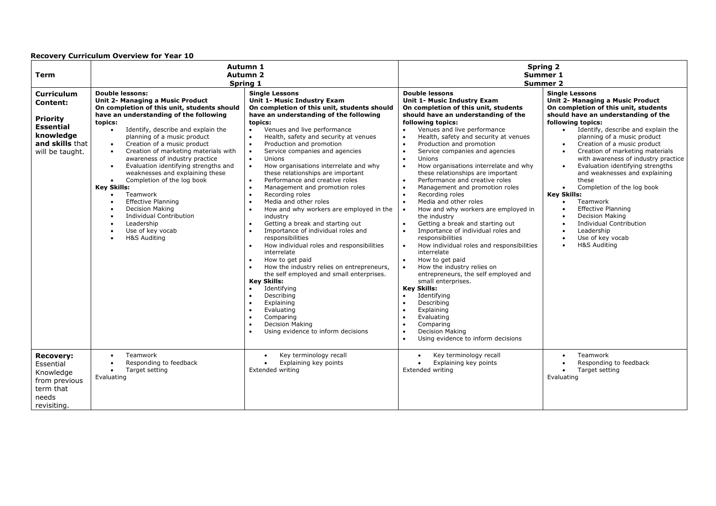| <b>Term</b>                                                                                                                    | Autumn 1<br>Autumn <sub>2</sub><br>Spring 1                                                                                                                                                                                                                                                                                                                                                                                                                                                                                                                                                                                                                                                                                                                                                    |                                                                                                                                                                                                                                                                                                                                                                                                                                                                                                                                                                                                                                                                                                                                                                                                                                                                                                                                                                                                                                                                                                   | <b>Spring 2</b><br>Summer 1<br><b>Summer 2</b>                                                                                                                                                                                                                                                                                                                                                                                                                                                                                                                                                                                                                                                                                                                                                                                                                                                                                                                                                                                                                                                                                                                                                                                                                                                          |                                                                                                                                                                                                                                                                                                                                                                                                                                                                                                                                                                                                                                                                                                                                                                                                  |  |
|--------------------------------------------------------------------------------------------------------------------------------|------------------------------------------------------------------------------------------------------------------------------------------------------------------------------------------------------------------------------------------------------------------------------------------------------------------------------------------------------------------------------------------------------------------------------------------------------------------------------------------------------------------------------------------------------------------------------------------------------------------------------------------------------------------------------------------------------------------------------------------------------------------------------------------------|---------------------------------------------------------------------------------------------------------------------------------------------------------------------------------------------------------------------------------------------------------------------------------------------------------------------------------------------------------------------------------------------------------------------------------------------------------------------------------------------------------------------------------------------------------------------------------------------------------------------------------------------------------------------------------------------------------------------------------------------------------------------------------------------------------------------------------------------------------------------------------------------------------------------------------------------------------------------------------------------------------------------------------------------------------------------------------------------------|---------------------------------------------------------------------------------------------------------------------------------------------------------------------------------------------------------------------------------------------------------------------------------------------------------------------------------------------------------------------------------------------------------------------------------------------------------------------------------------------------------------------------------------------------------------------------------------------------------------------------------------------------------------------------------------------------------------------------------------------------------------------------------------------------------------------------------------------------------------------------------------------------------------------------------------------------------------------------------------------------------------------------------------------------------------------------------------------------------------------------------------------------------------------------------------------------------------------------------------------------------------------------------------------------------|--------------------------------------------------------------------------------------------------------------------------------------------------------------------------------------------------------------------------------------------------------------------------------------------------------------------------------------------------------------------------------------------------------------------------------------------------------------------------------------------------------------------------------------------------------------------------------------------------------------------------------------------------------------------------------------------------------------------------------------------------------------------------------------------------|--|
| <b>Curriculum</b><br><b>Content:</b><br><b>Priority</b><br><b>Essential</b><br>knowledge<br>and skills that<br>will be taught. | <b>Double lessons:</b><br>Unit 2- Managing a Music Product<br>On completion of this unit, students should<br>have an understanding of the following<br>topics:<br>Identify, describe and explain the<br>$\bullet$<br>planning of a music product<br>Creation of a music product<br>$\bullet$<br>Creation of marketing materials with<br>$\bullet$<br>awareness of industry practice<br>Evaluation identifying strengths and<br>$\bullet$<br>weaknesses and explaining these<br>Completion of the log book<br>$\bullet$<br><b>Key Skills:</b><br>Teamwork<br>$\bullet$<br><b>Effective Planning</b><br>$\bullet$<br><b>Decision Making</b><br>$\bullet$<br><b>Individual Contribution</b><br>$\bullet$<br>Leadership<br>$\bullet$<br>Use of key vocab<br>$\bullet$<br>H&S Auditing<br>$\bullet$ | <b>Single Lessons</b><br><b>Unit 1- Music Industry Exam</b><br>On completion of this unit, students should<br>have an understanding of the following<br>topics:<br>Venues and live performance<br>$\bullet$<br>Health, safety and security at venues<br>Production and promotion<br>$\bullet$<br>Service companies and agencies<br>$\bullet$<br>Unions<br>$\bullet$<br>How organisations interrelate and why<br>$\bullet$<br>these relationships are important<br>Performance and creative roles<br>$\bullet$<br>$\bullet$<br>Management and promotion roles<br>Recording roles<br>Media and other roles<br>How and why workers are employed in the<br>industry<br>Getting a break and starting out<br>Importance of individual roles and<br>responsibilities<br>How individual roles and responsibilities<br>interrelate<br>How to get paid<br>How the industry relies on entrepreneurs,<br>the self employed and small enterprises.<br><b>Key Skills:</b><br>Identifying<br>Describing<br>Explaining<br>Evaluating<br>Comparing<br><b>Decision Making</b><br>Using evidence to inform decisions | <b>Double lessons</b><br><b>Unit 1- Music Industry Exam</b><br>On completion of this unit, students<br>should have an understanding of the<br>following topics:<br>Venues and live performance<br>$\bullet$<br>Health, safety and security at venues<br>$\bullet$<br>Production and promotion<br>$\bullet$<br>Service companies and agencies<br>$\bullet$<br>Unions<br>$\bullet$<br>How organisations interrelate and why<br>$\bullet$<br>these relationships are important<br>Performance and creative roles<br>$\bullet$<br>Management and promotion roles<br>$\bullet$<br>Recording roles<br>$\bullet$<br>Media and other roles<br>$\bullet$<br>How and why workers are employed in<br>$\bullet$<br>the industry<br>Getting a break and starting out<br>$\bullet$<br>Importance of individual roles and<br>$\bullet$<br>responsibilities<br>How individual roles and responsibilities<br>$\bullet$<br>interrelate<br>How to get paid<br>$\bullet$<br>How the industry relies on<br>$\bullet$<br>entrepreneurs, the self employed and<br>small enterprises.<br><b>Key Skills:</b><br>Identifying<br>$\bullet$<br>Describing<br>$\bullet$<br>Explaining<br>$\bullet$<br>Evaluating<br>Comparing<br>$\bullet$<br><b>Decision Making</b><br>$\bullet$<br>Using evidence to inform decisions<br>$\bullet$ | <b>Single Lessons</b><br>Unit 2- Managing a Music Product<br>On completion of this unit, students<br>should have an understanding of the<br>following topics:<br>Identify, describe and explain the<br>$\bullet$<br>planning of a music product<br>Creation of a music product<br>$\bullet$<br>Creation of marketing materials<br>$\bullet$<br>with awareness of industry practice<br>Evaluation identifying strengths<br>$\bullet$<br>and weaknesses and explaining<br>these<br>Completion of the log book<br>$\bullet$<br><b>Key Skills:</b><br>Teamwork<br>$\bullet$<br><b>Effective Planning</b><br>$\bullet$<br><b>Decision Making</b><br>$\bullet$<br><b>Individual Contribution</b><br>$\bullet$<br>Leadership<br>$\bullet$<br>Use of key vocab<br>$\bullet$<br>H&S Auditing<br>$\bullet$ |  |
| <b>Recovery:</b><br>Essential<br>Knowledge<br>from previous<br>term that<br>needs<br>revisiting.                               | Teamwork<br>$\bullet$<br>Responding to feedback<br>$\bullet$<br>Target setting<br>$\bullet$<br>Evaluating                                                                                                                                                                                                                                                                                                                                                                                                                                                                                                                                                                                                                                                                                      | Key terminology recall<br>Explaining key points<br>Extended writing                                                                                                                                                                                                                                                                                                                                                                                                                                                                                                                                                                                                                                                                                                                                                                                                                                                                                                                                                                                                                               | Key terminology recall<br>$\bullet$<br>Explaining key points<br>$\bullet$<br>Extended writing                                                                                                                                                                                                                                                                                                                                                                                                                                                                                                                                                                                                                                                                                                                                                                                                                                                                                                                                                                                                                                                                                                                                                                                                           | Teamwork<br>$\bullet$<br>Responding to feedback<br>$\bullet$<br>Target setting<br>Evaluating                                                                                                                                                                                                                                                                                                                                                                                                                                                                                                                                                                                                                                                                                                     |  |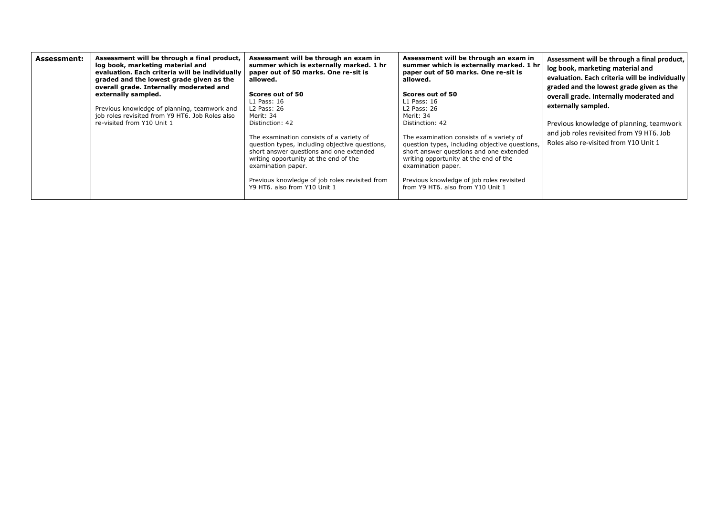| Assessment will be through a final product,<br><b>Assessment:</b><br>log book, marketing material and<br>evaluation. Each criteria will be individually<br>graded and the lowest grade given as the<br>overall grade. Internally moderated and<br>externally sampled.<br>Previous knowledge of planning, teamwork and<br>job roles revisited from Y9 HT6. Job Roles also<br>re-visited from Y10 Unit 1 | Assessment will be through an exam in<br>summer which is externally marked. 1 hr<br>paper out of 50 marks. One re-sit is<br>allowed.<br>Scores out of 50<br>$L1$ Pass: 16<br>L2 Pass: 26<br>Merit: 34<br>Distinction: 42<br>The examination consists of a variety of<br>question types, including objective questions,<br>short answer questions and one extended<br>writing opportunity at the end of the<br>examination paper.<br>Previous knowledge of job roles revisited from<br>Y9 HT6, also from Y10 Unit 1 | Assessment will be through an exam in<br>summer which is externally marked. 1 hr<br>paper out of 50 marks. One re-sit is<br>allowed.<br>Scores out of 50<br>$L1$ Pass: 16<br>$L2$ Pass: 26<br>Merit: 34<br>Distinction: 42<br>The examination consists of a variety of<br>question types, including objective questions,<br>short answer questions and one extended<br>writing opportunity at the end of the<br>examination paper.<br>Previous knowledge of job roles revisited<br>from Y9 HT6, also from Y10 Unit 1 | Assessment will be through a final product,<br>log book, marketing material and<br>evaluation. Each criteria will be individually<br>graded and the lowest grade given as the<br>overall grade. Internally moderated and<br>externally sampled.<br>Previous knowledge of planning, teamwork<br>and job roles revisited from Y9 HT6. Job<br>Roles also re-visited from Y10 Unit 1 |
|--------------------------------------------------------------------------------------------------------------------------------------------------------------------------------------------------------------------------------------------------------------------------------------------------------------------------------------------------------------------------------------------------------|--------------------------------------------------------------------------------------------------------------------------------------------------------------------------------------------------------------------------------------------------------------------------------------------------------------------------------------------------------------------------------------------------------------------------------------------------------------------------------------------------------------------|----------------------------------------------------------------------------------------------------------------------------------------------------------------------------------------------------------------------------------------------------------------------------------------------------------------------------------------------------------------------------------------------------------------------------------------------------------------------------------------------------------------------|----------------------------------------------------------------------------------------------------------------------------------------------------------------------------------------------------------------------------------------------------------------------------------------------------------------------------------------------------------------------------------|
|--------------------------------------------------------------------------------------------------------------------------------------------------------------------------------------------------------------------------------------------------------------------------------------------------------------------------------------------------------------------------------------------------------|--------------------------------------------------------------------------------------------------------------------------------------------------------------------------------------------------------------------------------------------------------------------------------------------------------------------------------------------------------------------------------------------------------------------------------------------------------------------------------------------------------------------|----------------------------------------------------------------------------------------------------------------------------------------------------------------------------------------------------------------------------------------------------------------------------------------------------------------------------------------------------------------------------------------------------------------------------------------------------------------------------------------------------------------------|----------------------------------------------------------------------------------------------------------------------------------------------------------------------------------------------------------------------------------------------------------------------------------------------------------------------------------------------------------------------------------|